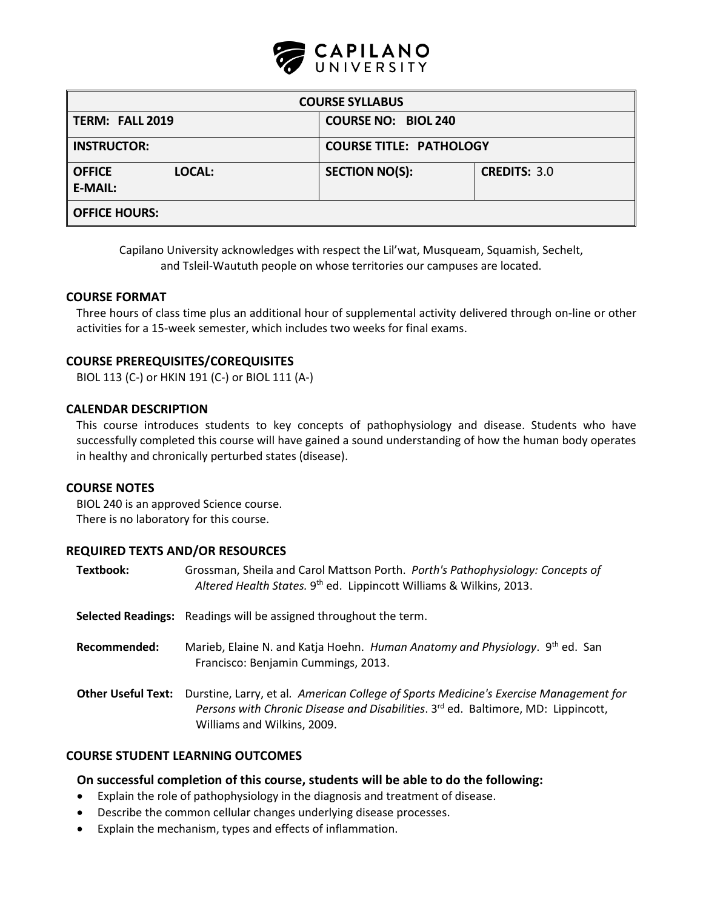

| <b>COURSE SYLLABUS</b>             |                                |                     |  |  |  |  |
|------------------------------------|--------------------------------|---------------------|--|--|--|--|
| TERM: FALL 2019                    | <b>COURSE NO: BIOL 240</b>     |                     |  |  |  |  |
| <b>INSTRUCTOR:</b>                 | <b>COURSE TITLE: PATHOLOGY</b> |                     |  |  |  |  |
| <b>OFFICE</b><br>LOCAL:<br>E-MAIL: | <b>SECTION NO(S):</b>          | <b>CREDITS: 3.0</b> |  |  |  |  |
| <b>OFFICE HOURS:</b>               |                                |                     |  |  |  |  |

Capilano University acknowledges with respect the Lil'wat, Musqueam, Squamish, Sechelt, and Tsleil-Waututh people on whose territories our campuses are located.

#### **COURSE FORMAT**

Three hours of class time plus an additional hour of supplemental activity delivered through on-line or other activities for a 15-week semester, which includes two weeks for final exams.

#### **COURSE PREREQUISITES/COREQUISITES**

BIOL 113 (C-) or HKIN 191 (C-) or BIOL 111 (A-)

#### **CALENDAR DESCRIPTION**

This course introduces students to key concepts of pathophysiology and disease. Students who have successfully completed this course will have gained a sound understanding of how the human body operates in healthy and chronically perturbed states (disease).

#### **COURSE NOTES**

BIOL 240 is an approved Science course. There is no laboratory for this course.

#### **REQUIRED TEXTS AND/OR RESOURCES**

| Textbook:                 | Grossman, Sheila and Carol Mattson Porth. Porth's Pathophysiology: Concepts of<br>Altered Health States. 9th ed. Lippincott Williams & Wilkins, 2013.                                                     |
|---------------------------|-----------------------------------------------------------------------------------------------------------------------------------------------------------------------------------------------------------|
|                           | <b>Selected Readings:</b> Readings will be assigned throughout the term.                                                                                                                                  |
| Recommended:              | Marieb, Elaine N. and Katja Hoehn. Human Anatomy and Physiology. 9th ed. San<br>Francisco: Benjamin Cummings, 2013.                                                                                       |
| <b>Other Useful Text:</b> | Durstine, Larry, et al. American College of Sports Medicine's Exercise Management for<br>Persons with Chronic Disease and Disabilities. 3rd ed. Baltimore, MD: Lippincott,<br>Williams and Wilkins, 2009. |

### **COURSE STUDENT LEARNING OUTCOMES**

### **On successful completion of this course, students will be able to do the following:**

- Explain the role of pathophysiology in the diagnosis and treatment of disease.
- Describe the common cellular changes underlying disease processes.
- Explain the mechanism, types and effects of inflammation.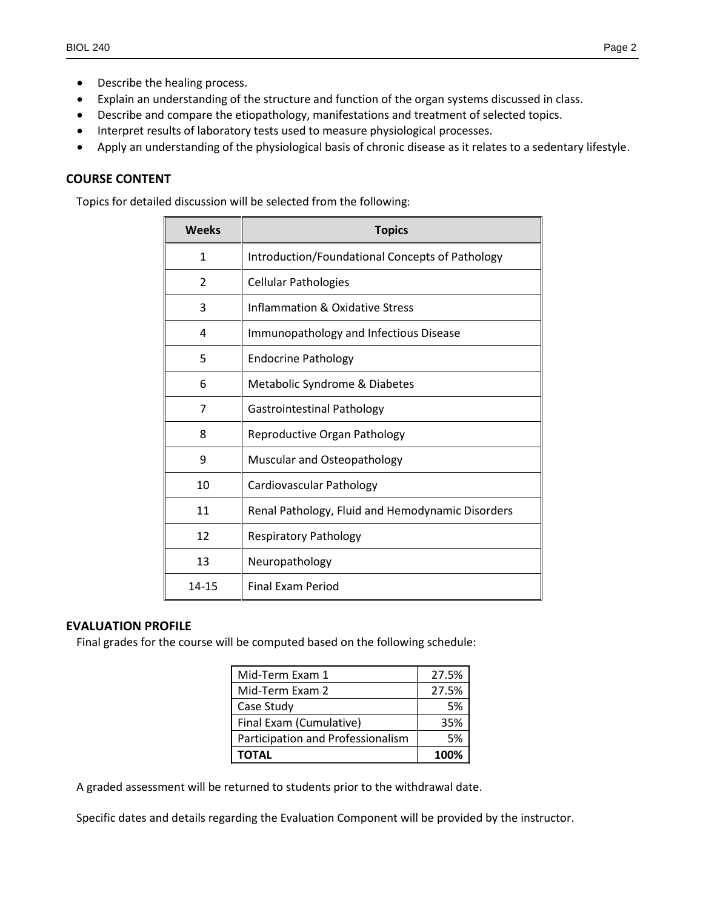- Describe the healing process.
- Explain an understanding of the structure and function of the organ systems discussed in class.
- Describe and compare the etiopathology, manifestations and treatment of selected topics.
- Interpret results of laboratory tests used to measure physiological processes.
- Apply an understanding of the physiological basis of chronic disease as it relates to a sedentary lifestyle.

### **COURSE CONTENT**

Topics for detailed discussion will be selected from the following:

| <b>Weeks</b>  | <b>Topics</b>                                    |  |  |  |
|---------------|--------------------------------------------------|--|--|--|
| 1             | Introduction/Foundational Concepts of Pathology  |  |  |  |
| $\mathcal{P}$ | <b>Cellular Pathologies</b>                      |  |  |  |
| 3             | Inflammation & Oxidative Stress                  |  |  |  |
| 4             | Immunopathology and Infectious Disease           |  |  |  |
| 5             | <b>Endocrine Pathology</b>                       |  |  |  |
| 6             | Metabolic Syndrome & Diabetes                    |  |  |  |
| 7             | <b>Gastrointestinal Pathology</b>                |  |  |  |
| 8             | Reproductive Organ Pathology                     |  |  |  |
| 9             | Muscular and Osteopathology                      |  |  |  |
| 10            | Cardiovascular Pathology                         |  |  |  |
| 11            | Renal Pathology, Fluid and Hemodynamic Disorders |  |  |  |
| 12            | <b>Respiratory Pathology</b>                     |  |  |  |
| 13            | Neuropathology                                   |  |  |  |
| 14-15         | <b>Final Exam Period</b>                         |  |  |  |

#### **EVALUATION PROFILE**

Final grades for the course will be computed based on the following schedule:

| Mid-Term Exam 1                   | 27.5% |
|-----------------------------------|-------|
| Mid-Term Exam 2                   | 27.5% |
| Case Study                        | .5%   |
| Final Exam (Cumulative)           | 35%   |
| Participation and Professionalism | .5%   |
| <b>TOTAL</b>                      | 100%  |

A graded assessment will be returned to students prior to the withdrawal date.

Specific dates and details regarding the Evaluation Component will be provided by the instructor.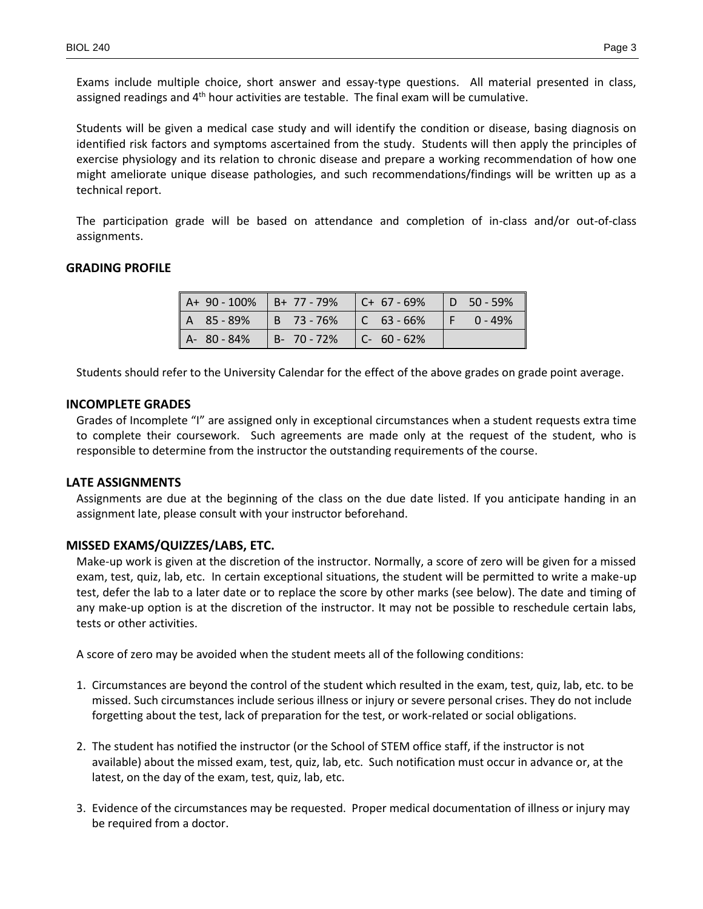Exams include multiple choice, short answer and essay-type questions. All material presented in class, assigned readings and 4<sup>th</sup> hour activities are testable. The final exam will be cumulative.

Students will be given a medical case study and will identify the condition or disease, basing diagnosis on identified risk factors and symptoms ascertained from the study. Students will then apply the principles of exercise physiology and its relation to chronic disease and prepare a working recommendation of how one might ameliorate unique disease pathologies, and such recommendations/findings will be written up as a technical report.

The participation grade will be based on attendance and completion of in-class and/or out-of-class assignments.

# **GRADING PROFILE**

| $\parallel$ A+ 90 - 100% $\parallel$ B+ 77 - 79% $\parallel$ C+ 67 - 69% $\parallel$ D 50 - 59% |                                         |  | H                  |
|-------------------------------------------------------------------------------------------------|-----------------------------------------|--|--------------------|
| $A$ 85-89% B 73-76% C 63-66%                                                                    |                                         |  | I<br>$F = 0 - 49%$ |
| A-80-84%                                                                                        | $\vert$ B- 70 - 72% $\vert$ C- 60 - 62% |  |                    |

Students should refer to the University Calendar for the effect of the above grades on grade point average.

# **INCOMPLETE GRADES**

Grades of Incomplete "I" are assigned only in exceptional circumstances when a student requests extra time to complete their coursework. Such agreements are made only at the request of the student, who is responsible to determine from the instructor the outstanding requirements of the course.

### **LATE ASSIGNMENTS**

Assignments are due at the beginning of the class on the due date listed. If you anticipate handing in an assignment late, please consult with your instructor beforehand.

# **MISSED EXAMS/QUIZZES/LABS, ETC.**

Make-up work is given at the discretion of the instructor. Normally, a score of zero will be given for a missed exam, test, quiz, lab, etc. In certain exceptional situations, the student will be permitted to write a make-up test, defer the lab to a later date or to replace the score by other marks (see below). The date and timing of any make-up option is at the discretion of the instructor. It may not be possible to reschedule certain labs, tests or other activities.

A score of zero may be avoided when the student meets all of the following conditions:

- 1. Circumstances are beyond the control of the student which resulted in the exam, test, quiz, lab, etc. to be missed. Such circumstances include serious illness or injury or severe personal crises. They do not include forgetting about the test, lack of preparation for the test, or work-related or social obligations.
- 2. The student has notified the instructor (or the School of STEM office staff, if the instructor is not available) about the missed exam, test, quiz, lab, etc. Such notification must occur in advance or, at the latest, on the day of the exam, test, quiz, lab, etc.
- 3. Evidence of the circumstances may be requested. Proper medical documentation of illness or injury may be required from a doctor.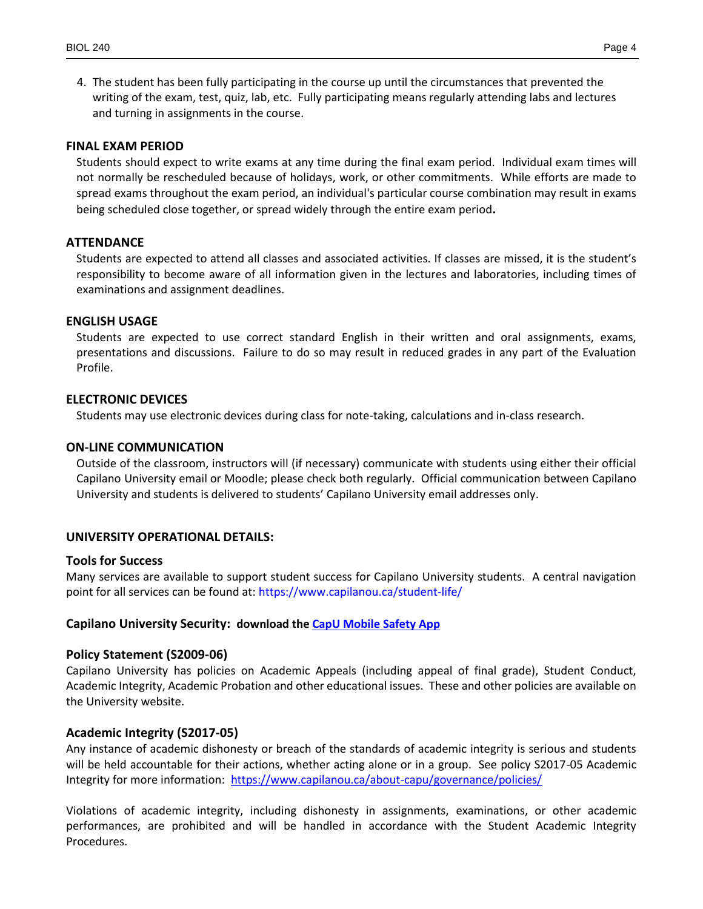4. The student has been fully participating in the course up until the circumstances that prevented the writing of the exam, test, quiz, lab, etc. Fully participating means regularly attending labs and lectures and turning in assignments in the course.

#### **FINAL EXAM PERIOD**

Students should expect to write exams at any time during the final exam period. Individual exam times will not normally be rescheduled because of holidays, work, or other commitments. While efforts are made to spread exams throughout the exam period, an individual's particular course combination may result in exams being scheduled close together, or spread widely through the entire exam period**.** 

#### **ATTENDANCE**

Students are expected to attend all classes and associated activities. If classes are missed, it is the student's responsibility to become aware of all information given in the lectures and laboratories, including times of examinations and assignment deadlines.

#### **ENGLISH USAGE**

Students are expected to use correct standard English in their written and oral assignments, exams, presentations and discussions. Failure to do so may result in reduced grades in any part of the Evaluation Profile.

#### **ELECTRONIC DEVICES**

Students may use electronic devices during class for note-taking, calculations and in-class research.

#### **ON-LINE COMMUNICATION**

Outside of the classroom, instructors will (if necessary) communicate with students using either their official Capilano University email or Moodle; please check both regularly. Official communication between Capilano University and students is delivered to students' Capilano University email addresses only.

### **UNIVERSITY OPERATIONAL DETAILS:**

#### **Tools for Success**

Many services are available to support student success for Capilano University students. A central navigation point for all services can be found at:<https://www.capilanou.ca/student-life/>

### **Capilano University Security: download the [CapU Mobile Safety App](https://www.capilanou.ca/student-life/support--wellness/safety--security/capu-safe-app/)**

### **Policy Statement (S2009-06)**

Capilano University has policies on Academic Appeals (including appeal of final grade), Student Conduct, Academic Integrity, Academic Probation and other educational issues. These and other policies are available on the University website.

### **Academic Integrity (S2017-05)**

Any instance of academic dishonesty or breach of the standards of academic integrity is serious and students will be held accountable for their actions, whether acting alone or in a group. See policy S2017-05 Academic Integrity for more information: <https://www.capilanou.ca/about-capu/governance/policies/>

Violations of academic integrity, including dishonesty in assignments, examinations, or other academic performances, are prohibited and will be handled in accordance with the Student Academic Integrity Procedures.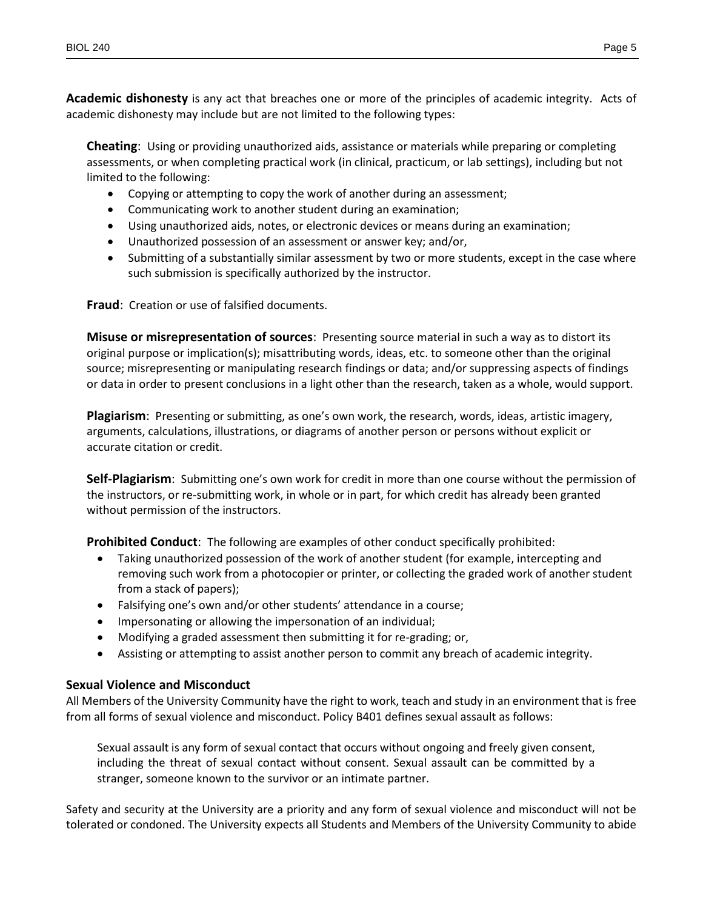**Academic dishonesty** is any act that breaches one or more of the principles of academic integrity. Acts of academic dishonesty may include but are not limited to the following types:

**Cheating**: Using or providing unauthorized aids, assistance or materials while preparing or completing assessments, or when completing practical work (in clinical, practicum, or lab settings), including but not limited to the following:

- Copying or attempting to copy the work of another during an assessment;
- Communicating work to another student during an examination;
- Using unauthorized aids, notes, or electronic devices or means during an examination;
- Unauthorized possession of an assessment or answer key; and/or,
- Submitting of a substantially similar assessment by two or more students, except in the case where such submission is specifically authorized by the instructor.

**Fraud**: Creation or use of falsified documents.

**Misuse or misrepresentation of sources**: Presenting source material in such a way as to distort its original purpose or implication(s); misattributing words, ideas, etc. to someone other than the original source; misrepresenting or manipulating research findings or data; and/or suppressing aspects of findings or data in order to present conclusions in a light other than the research, taken as a whole, would support.

**Plagiarism**: Presenting or submitting, as one's own work, the research, words, ideas, artistic imagery, arguments, calculations, illustrations, or diagrams of another person or persons without explicit or accurate citation or credit.

**Self-Plagiarism**: Submitting one's own work for credit in more than one course without the permission of the instructors, or re-submitting work, in whole or in part, for which credit has already been granted without permission of the instructors.

**Prohibited Conduct**: The following are examples of other conduct specifically prohibited:

- Taking unauthorized possession of the work of another student (for example, intercepting and removing such work from a photocopier or printer, or collecting the graded work of another student from a stack of papers);
- Falsifying one's own and/or other students' attendance in a course;
- Impersonating or allowing the impersonation of an individual;
- Modifying a graded assessment then submitting it for re-grading; or,
- Assisting or attempting to assist another person to commit any breach of academic integrity.

### **Sexual Violence and Misconduct**

All Members of the University Community have the right to work, teach and study in an environment that is free from all forms of sexual violence and misconduct. Policy B401 defines sexual assault as follows:

Sexual assault is any form of sexual contact that occurs without ongoing and freely given consent, including the threat of sexual contact without consent. Sexual assault can be committed by a stranger, someone known to the survivor or an intimate partner.

Safety and security at the University are a priority and any form of sexual violence and misconduct will not be tolerated or condoned. The University expects all Students and Members of the University Community to abide